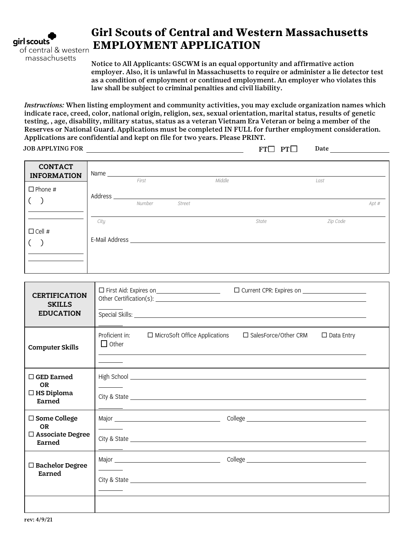

massachusetts

# **Girl Scouts of Central and Western Massachusetts EMPLOYMENT APPLICATION**

Notice to All Applicants: GSCWM is an equal opportunity and affirmative action employer. Also, it is unlawful in Massachusetts to require or administer a lie detector test as a condition of employment or continued employment. An employer who violates this law shall be subject to criminal penalties and civil liability.

*Instructions:* When listing employment and community activities, you may exclude organization names which indicate race, creed, color, national origin, religion, sex, sexual orientation, marital status, results of genetic testing, , age, disability, military status, status as a veteran Vietnam Era Veteran or being a member of the Reserves or National Guard. Applications must be completed IN FULL for further employment consideration. Applications are confidential and kept on file for two years. Please PRINT.

JOB APPLYING FOR  $\operatorname{FT} \Box \quad \operatorname{PT} \Box \quad \quad \text{Date}$ 

| <b>CONTACT</b><br><b>INFORMATION</b> | Name           |        |               |        |       |          |            |
|--------------------------------------|----------------|--------|---------------|--------|-------|----------|------------|
| $\Box$ Phone #                       | Address        | First  |               | Middle |       | Last     |            |
|                                      |                | Number | <b>Street</b> |        |       |          | $Apt \neq$ |
|                                      | City           |        |               |        | State | Zip Code |            |
| $\Box$ Cell #                        | E-Mail Address |        |               |        |       |          |            |

| <b>CERTIFICATION</b><br><b>SKILLS</b><br><b>EDUCATION</b>        | □ Current CPR: Expires on <u>_________________</u><br>Special Skills: <u>Communications</u> of the second state of the second state of the second state of the second state of the second state of the second state of the second state of the second state of the second state of the se |  |
|------------------------------------------------------------------|-------------------------------------------------------------------------------------------------------------------------------------------------------------------------------------------------------------------------------------------------------------------------------------------|--|
| <b>Computer Skills</b>                                           | Proficient in:<br>□ MicroSoft Office Applications<br>$\Box$ SalesForce/Other CRM<br>$\Box$ Data Entry<br>$\Box$ Other                                                                                                                                                                     |  |
| $\Box$ GED Earned<br><b>OR</b><br>$\Box$ HS Diploma<br>Earned    |                                                                                                                                                                                                                                                                                           |  |
| □ Some College<br><b>OR</b><br>$\Box$ Associate Degree<br>Earned |                                                                                                                                                                                                                                                                                           |  |
| $\Box$ Bachelor Degree<br>Earned                                 |                                                                                                                                                                                                                                                                                           |  |
|                                                                  |                                                                                                                                                                                                                                                                                           |  |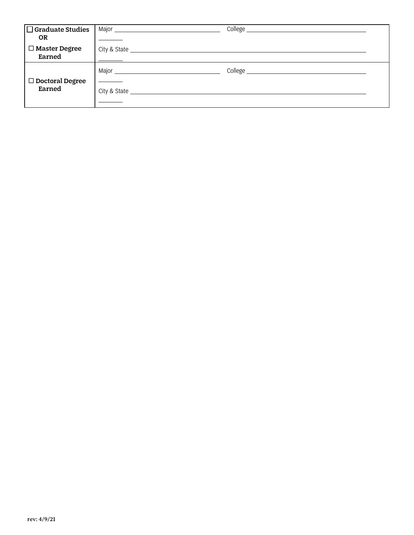| $\Box$ Graduate Studies<br><b>OR</b> | Major _      | College |
|--------------------------------------|--------------|---------|
| □ Master Degree<br>Earned            |              |         |
| $\Box$ Doctoral Degree               |              |         |
| Earned                               | City & State |         |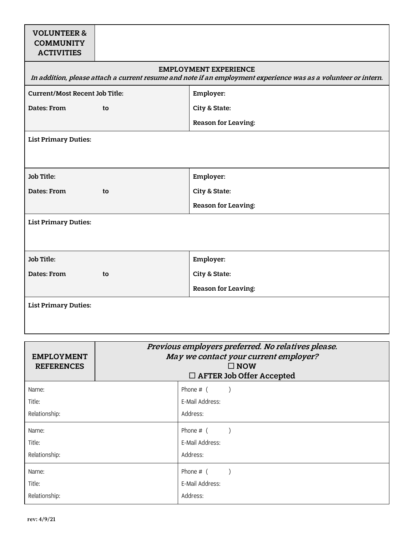# VOLUNTEER & **COMMUNITY ACTIVITIES**

## EMPLOYMENT EXPERIENCE

| In addition, please attach a current resume and note if an employment experience was as a volunteer or intern. |                            |  |
|----------------------------------------------------------------------------------------------------------------|----------------------------|--|
| <b>Current/Most Recent Job Title:</b>                                                                          | Employer:                  |  |
| Dates: From<br>to                                                                                              | City & State:              |  |
|                                                                                                                | <b>Reason for Leaving:</b> |  |
| <b>List Primary Duties:</b>                                                                                    |                            |  |
|                                                                                                                |                            |  |
| Job Title:                                                                                                     | Employer:                  |  |
| Dates: From<br>to                                                                                              | City & State:              |  |
|                                                                                                                | <b>Reason for Leaving:</b> |  |
| <b>List Primary Duties:</b>                                                                                    |                            |  |
|                                                                                                                |                            |  |
| Job Title:                                                                                                     | Employer:                  |  |
| Dates: From<br>to                                                                                              | City & State:              |  |
|                                                                                                                | <b>Reason for Leaving:</b> |  |
| <b>List Primary Duties:</b>                                                                                    |                            |  |

| <b>EMPLOYMENT</b><br><b>REFERENCES</b> | Previous employers preferred. No relatives please.<br>May we contact your current employer?<br>$\square$ NOW<br>$\Box$ AFTER Job Offer Accepted |                 |  |
|----------------------------------------|-------------------------------------------------------------------------------------------------------------------------------------------------|-----------------|--|
| Name:                                  |                                                                                                                                                 | Phone $#$ (     |  |
| Title:                                 |                                                                                                                                                 | E-Mail Address: |  |
| Relationship:                          |                                                                                                                                                 | Address:        |  |
| Name:                                  |                                                                                                                                                 | Phone $#$ (     |  |
| Title:                                 |                                                                                                                                                 | E-Mail Address: |  |
| Relationship:                          |                                                                                                                                                 | Address:        |  |
| Name:                                  |                                                                                                                                                 | Phone $#$ (     |  |
| Title:                                 |                                                                                                                                                 | E-Mail Address: |  |
| Relationship:                          |                                                                                                                                                 | Address:        |  |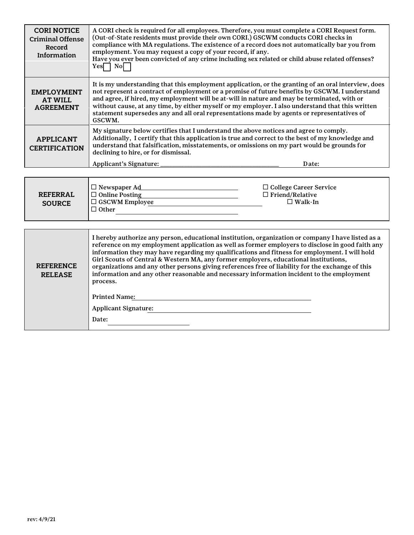| <b>CORI NOTICE</b><br><b>Criminal Offense</b><br>Record<br>Information | A CORI check is required for all employees. Therefore, you must complete a CORI Request form.<br>(Out-of-State residents must provide their own CORI.) GSCWM conducts CORI checks in<br>compliance with MA regulations. The existence of a record does not automatically bar you from<br>employment. You may request a copy of your record, if any.<br>Have you ever been convicted of any crime including sex related or child abuse related offenses?<br>$Yes \Box No \Box$                                                                                                                                |  |  |
|------------------------------------------------------------------------|--------------------------------------------------------------------------------------------------------------------------------------------------------------------------------------------------------------------------------------------------------------------------------------------------------------------------------------------------------------------------------------------------------------------------------------------------------------------------------------------------------------------------------------------------------------------------------------------------------------|--|--|
| <b>EMPLOYMENT</b><br><b>AT WILL</b><br><b>AGREEMENT</b>                | It is my understanding that this employment application, or the granting of an oral interview, does<br>not represent a contract of employment or a promise of future benefits by GSCWM. I understand<br>and agree, if hired, my employment will be at-will in nature and may be terminated, with or<br>without cause, at any time, by either myself or my employer. I also understand that this written<br>statement supersedes any and all oral representations made by agents or representatives of<br>GSCWM.                                                                                              |  |  |
| <b>APPLICANT</b><br><b>CERTIFICATION</b>                               | My signature below certifies that I understand the above notices and agree to comply.<br>Additionally, I certify that this application is true and correct to the best of my knowledge and<br>understand that falsification, misstatements, or omissions on my part would be grounds for<br>declining to hire, or for dismissal.                                                                                                                                                                                                                                                                             |  |  |
|                                                                        | Applicant's Signature:<br>Date:                                                                                                                                                                                                                                                                                                                                                                                                                                                                                                                                                                              |  |  |
|                                                                        |                                                                                                                                                                                                                                                                                                                                                                                                                                                                                                                                                                                                              |  |  |
| <b>REFERRAL</b><br><b>SOURCE</b>                                       | □ College Career Service<br>□ Newspaper Ad <u>  and</u> and all not a metal and all not a metal and all not a metal and all not a metal and all not a metal and all not a metal and all not a metal and all not a metal and all not a metal and all not a met<br>$\Box$ Friend/Relative<br>$\Box$ Online Posting<br>U GSCWM Employee<br>$\Box$ Walk-In<br>$\Box$ Other                                                                                                                                                                                                                                       |  |  |
|                                                                        |                                                                                                                                                                                                                                                                                                                                                                                                                                                                                                                                                                                                              |  |  |
| <b>REFERENCE</b><br><b>RELEASE</b>                                     | I hereby authorize any person, educational institution, organization or company I have listed as a<br>reference on my employment application as well as former employers to disclose in good faith any<br>information they may have regarding my qualifications and fitness for employment. I will hold<br>Girl Scouts of Central & Western MA, any former employers, educational institutions,<br>organizations and any other persons giving references free of liability for the exchange of this<br>information and any other reasonable and necessary information incident to the employment<br>process. |  |  |
|                                                                        | <b>Printed Name:</b>                                                                                                                                                                                                                                                                                                                                                                                                                                                                                                                                                                                         |  |  |
|                                                                        | <b>Applicant Signature:</b>                                                                                                                                                                                                                                                                                                                                                                                                                                                                                                                                                                                  |  |  |
|                                                                        | Date:                                                                                                                                                                                                                                                                                                                                                                                                                                                                                                                                                                                                        |  |  |